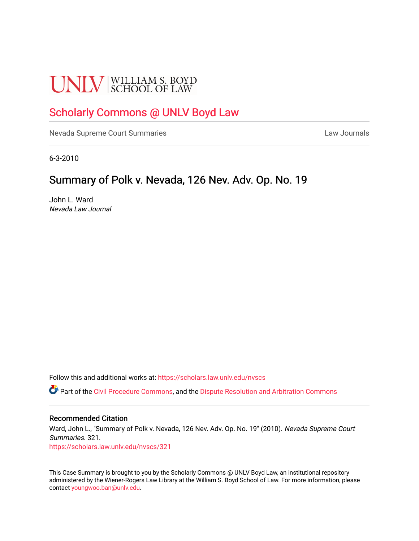# **UNLV** SCHOOL OF LAW

## [Scholarly Commons @ UNLV Boyd Law](https://scholars.law.unlv.edu/)

[Nevada Supreme Court Summaries](https://scholars.law.unlv.edu/nvscs) **Law Journals** Law Journals

6-3-2010

### Summary of Polk v. Nevada, 126 Nev. Adv. Op. No. 19

John L. Ward Nevada Law Journal

Follow this and additional works at: [https://scholars.law.unlv.edu/nvscs](https://scholars.law.unlv.edu/nvscs?utm_source=scholars.law.unlv.edu%2Fnvscs%2F321&utm_medium=PDF&utm_campaign=PDFCoverPages)

**C** Part of the [Civil Procedure Commons,](http://network.bepress.com/hgg/discipline/584?utm_source=scholars.law.unlv.edu%2Fnvscs%2F321&utm_medium=PDF&utm_campaign=PDFCoverPages) and the Dispute Resolution and Arbitration Commons

### Recommended Citation

Ward, John L., "Summary of Polk v. Nevada, 126 Nev. Adv. Op. No. 19" (2010). Nevada Supreme Court Summaries. 321.

[https://scholars.law.unlv.edu/nvscs/321](https://scholars.law.unlv.edu/nvscs/321?utm_source=scholars.law.unlv.edu%2Fnvscs%2F321&utm_medium=PDF&utm_campaign=PDFCoverPages)

This Case Summary is brought to you by the Scholarly Commons @ UNLV Boyd Law, an institutional repository administered by the Wiener-Rogers Law Library at the William S. Boyd School of Law. For more information, please contact [youngwoo.ban@unlv.edu](mailto:youngwoo.ban@unlv.edu).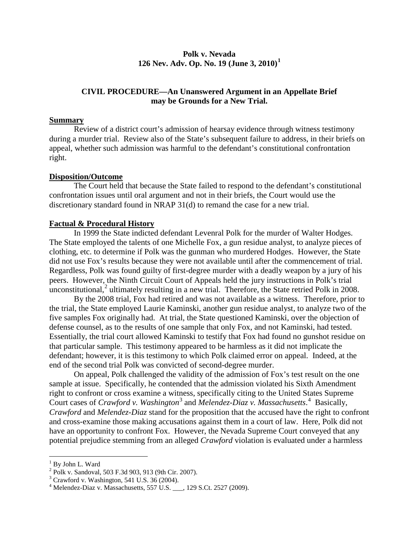### **Polk v. Nevada 126 Nev. Adv. Op. No. 19 (June 3, 2010) [1](#page-1-0)**

### **CIVIL PROCEDURE—An Unanswered Argument in an Appellate Brief may be Grounds for a New Trial.**

### **Summary**

Review of a district court's admission of hearsay evidence through witness testimony during a murder trial. Review also of the State's subsequent failure to address, in their briefs on appeal, whether such admission was harmful to the defendant's constitutional confrontation right.

### **Disposition/Outcome**

The Court held that because the State failed to respond to the defendant's constitutional confrontation issues until oral argument and not in their briefs, the Court would use the discretionary standard found in NRAP 31(d) to remand the case for a new trial.

### **Factual & Procedural History**

In 1999 the State indicted defendant Levenral Polk for the murder of Walter Hodges. The State employed the talents of one Michelle Fox, a gun residue analyst, to analyze pieces of clothing, etc. to determine if Polk was the gunman who murdered Hodges. However, the State did not use Fox's results because they were not available until after the commencement of trial. Regardless, Polk was found guilty of first-degree murder with a deadly weapon by a jury of his peers. However, the Ninth Circuit Court of Appeals held the jury instructions in Polk's trial unconstitutional,<sup>[2](#page-1-1)</sup> ultimately resulting in a new trial. Therefore, the State retried Polk in 2008.

By the 2008 trial, Fox had retired and was not available as a witness. Therefore, prior to the trial, the State employed Laurie Kaminski, another gun residue analyst, to analyze two of the five samples Fox originally had. At trial, the State questioned Kaminski, over the objection of defense counsel, as to the results of one sample that only Fox, and not Kaminski, had tested. Essentially, the trial court allowed Kaminski to testify that Fox had found no gunshot residue on that particular sample. This testimony appeared to be harmless as it did not implicate the defendant; however, it is this testimony to which Polk claimed error on appeal. Indeed, at the end of the second trial Polk was convicted of second-degree murder.

On appeal, Polk challenged the validity of the admission of Fox's test result on the one sample at issue. Specifically, he contended that the admission violated his Sixth Amendment right to confront or cross examine a witness, specifically citing to the United States Supreme Court cases of *Crawford v. Washington*<sup>[3](#page-1-2)</sup> and *Melendez-Diaz v. Massachusetts*.<sup>[4](#page-1-3)</sup> Basically, *Crawford* and *Melendez-Diaz* stand for the proposition that the accused have the right to confront and cross-examine those making accusations against them in a court of law. Here, Polk did not have an opportunity to confront Fox. However, the Nevada Supreme Court conveyed that any potential prejudice stemming from an alleged *Crawford* violation is evaluated under a harmless

<sup>&</sup>lt;sup>1</sup> By John L. Ward

<span id="page-1-1"></span><span id="page-1-0"></span> $^{2}$  Polk v. Sandoval, 503 F.3d 903, 913 (9th Cir. 2007).<br> $^{3}$  Crawford v. Washington, 541 U.S. 36 (2004).

<span id="page-1-3"></span><span id="page-1-2"></span> $3$ <sup>4</sup> Melendez-Diaz v. Massachusetts, 557 U.S.  $\_\_$ , 129 S.Ct. 2527 (2009).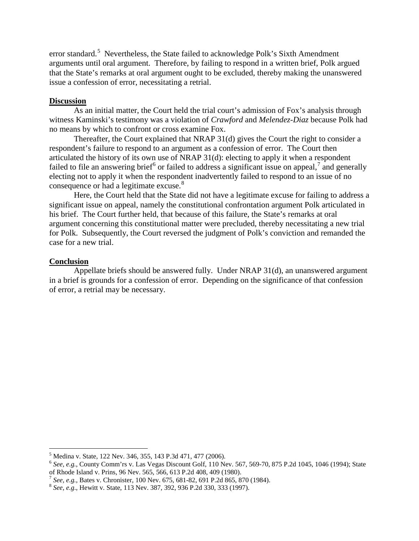error standard.<sup>[5](#page-2-0)</sup> Nevertheless, the State failed to acknowledge Polk's Sixth Amendment arguments until oral argument. Therefore, by failing to respond in a written brief, Polk argued that the State's remarks at oral argument ought to be excluded, thereby making the unanswered issue a confession of error, necessitating a retrial.

### **Discussion**

As an initial matter, the Court held the trial court's admission of Fox's analysis through witness Kaminski's testimony was a violation of *Crawford* and *Melendez-Diaz* because Polk had no means by which to confront or cross examine Fox.

Thereafter, the Court explained that NRAP 31(d) gives the Court the right to consider a respondent's failure to respond to an argument as a confession of error. The Court then articulated the history of its own use of NRAP 31(d): electing to apply it when a respondent failed to file an answering brief<sup>[6](#page-2-1)</sup> or failed to address a significant issue on appeal,<sup>[7](#page-2-2)</sup> and generally electing not to apply it when the respondent inadvertently failed to respond to an issue of no consequence or had a legitimate excuse.<sup>[8](#page-2-3)</sup>

Here, the Court held that the State did not have a legitimate excuse for failing to address a significant issue on appeal, namely the constitutional confrontation argument Polk articulated in his brief. The Court further held, that because of this failure, the State's remarks at oral argument concerning this constitutional matter were precluded, thereby necessitating a new trial for Polk. Subsequently, the Court reversed the judgment of Polk's conviction and remanded the case for a new trial.

### **Conclusion**

Appellate briefs should be answered fully. Under NRAP 31(d), an unanswered argument in a brief is grounds for a confession of error. Depending on the significance of that confession of error, a retrial may be necessary.

<span id="page-2-0"></span> <sup>5</sup> Medina v. State, 122 Nev. 346, 355, 143 P.3d 471, 477 (2006).

<span id="page-2-1"></span><sup>6</sup> *See, e.g.*, County Comm'rs v. Las Vegas Discount Golf, 110 Nev. 567, 569-70, 875 P.2d 1045, 1046 (1994); State of Rhode Island v. Prins, 96 Nev. 565, 566, 613 P.2d 408, 409 (1980).<br>
<sup>7</sup> See, e.g., Bates v. Chronister, 100 Nev. 675, 681-82, 691 P.2d 865, 870 (1984).<br>
<sup>8</sup> See, e.g., Hewitt v. State, 113 Nev. 387, 392, 936 P.2d 330, 3

<span id="page-2-2"></span>

<span id="page-2-3"></span>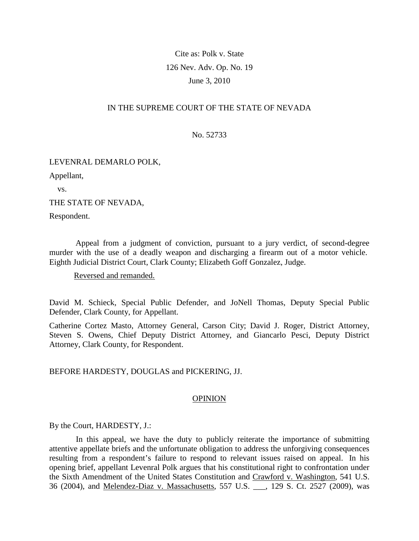### Cite as: Polk v. State 126 Nev. Adv. Op. No. 19 June 3, 2010

### IN THE SUPREME COURT OF THE STATE OF NEVADA

No. 52733

#### LEVENRAL DEMARLO POLK,

Appellant,

vs.

THE STATE OF NEVADA,

Respondent.

 Appeal from a judgment of conviction, pursuant to a jury verdict, of second-degree murder with the use of a deadly weapon and discharging a firearm out of a motor vehicle. Eighth Judicial District Court, Clark County; Elizabeth Goff Gonzalez, Judge.

### Reversed and remanded.

David M. Schieck, Special Public Defender, and JoNell Thomas, Deputy Special Public Defender, Clark County, for Appellant.

Catherine Cortez Masto, Attorney General, Carson City; David J. Roger, District Attorney, Steven S. Owens, Chief Deputy District Attorney, and Giancarlo Pesci, Deputy District Attorney, Clark County, for Respondent.

### BEFORE HARDESTY, DOUGLAS and PICKERING, JJ.

### **OPINION**

By the Court, HARDESTY, J.:

 In this appeal, we have the duty to publicly reiterate the importance of submitting attentive appellate briefs and the unfortunate obligation to address the unforgiving consequences resulting from a respondent's failure to respond to relevant issues raised on appeal. In his opening brief, appellant Levenral Polk argues that his constitutional right to confrontation under the Sixth Amendment of the United States Constitution and Crawford v. Washington, 541 U.S. 36 (2004), and Melendez-Diaz v. Massachusetts, 557 U.S. \_\_\_, 129 S. Ct. 2527 (2009), was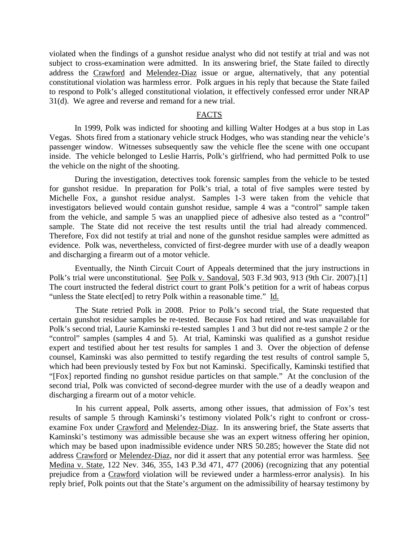violated when the findings of a gunshot residue analyst who did not testify at trial and was not subject to cross-examination were admitted. In its answering brief, the State failed to directly address the Crawford and Melendez-Diaz issue or argue, alternatively, that any potential constitutional violation was harmless error. Polk argues in his reply that because the State failed to respond to Polk's alleged constitutional violation, it effectively confessed error under NRAP 31(d). We agree and reverse and remand for a new trial.

### FACTS

 In 1999, Polk was indicted for shooting and killing Walter Hodges at a bus stop in Las Vegas. Shots fired from a stationary vehicle struck Hodges, who was standing near the vehicle's passenger window. Witnesses subsequently saw the vehicle flee the scene with one occupant inside. The vehicle belonged to Leslie Harris, Polk's girlfriend, who had permitted Polk to use the vehicle on the night of the shooting.

 During the investigation, detectives took forensic samples from the vehicle to be tested for gunshot residue. In preparation for Polk's trial, a total of five samples were tested by Michelle Fox, a gunshot residue analyst. Samples 1-3 were taken from the vehicle that investigators believed would contain gunshot residue, sample 4 was a "control" sample taken from the vehicle, and sample 5 was an unapplied piece of adhesive also tested as a "control" sample. The State did not receive the test results until the trial had already commenced. Therefore, Fox did not testify at trial and none of the gunshot residue samples were admitted as evidence. Polk was, nevertheless, convicted of first-degree murder with use of a deadly weapon and discharging a firearm out of a motor vehicle.

 Eventually, the Ninth Circuit Court of Appeals determined that the jury instructions in Polk's trial were unconstitutional. See Polk v. Sandoval, 503 F.3d 903, 913 (9th Cir. 2007).[1] The court instructed the federal district court to grant Polk's petition for a writ of habeas corpus "unless the State elect[ed] to retry Polk within a reasonable time." Id.

 The State retried Polk in 2008. Prior to Polk's second trial, the State requested that certain gunshot residue samples be re-tested. Because Fox had retired and was unavailable for Polk's second trial, Laurie Kaminski re-tested samples 1 and 3 but did not re-test sample 2 or the "control" samples (samples 4 and 5). At trial, Kaminski was qualified as a gunshot residue expert and testified about her test results for samples 1 and 3. Over the objection of defense counsel, Kaminski was also permitted to testify regarding the test results of control sample 5, which had been previously tested by Fox but not Kaminski. Specifically, Kaminski testified that "[Fox] reported finding no gunshot residue particles on that sample." At the conclusion of the second trial, Polk was convicted of second-degree murder with the use of a deadly weapon and discharging a firearm out of a motor vehicle.

 In his current appeal, Polk asserts, among other issues, that admission of Fox's test results of sample 5 through Kaminski's testimony violated Polk's right to confront or crossexamine Fox under Crawford and Melendez-Diaz. In its answering brief, the State asserts that Kaminski's testimony was admissible because she was an expert witness offering her opinion, which may be based upon inadmissible evidence under NRS 50.285; however the State did not address Crawford or Melendez-Diaz, nor did it assert that any potential error was harmless. See Medina v. State, 122 Nev. 346, 355, 143 P.3d 471, 477 (2006) (recognizing that any potential prejudice from a Crawford violation will be reviewed under a harmless-error analysis). In his reply brief, Polk points out that the State's argument on the admissibility of hearsay testimony by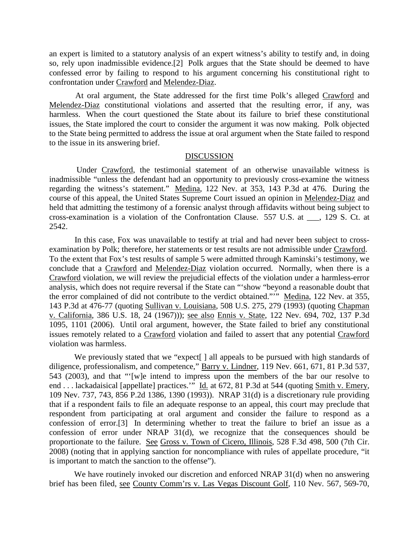an expert is limited to a statutory analysis of an expert witness's ability to testify and, in doing so, rely upon inadmissible evidence.[2] Polk argues that the State should be deemed to have confessed error by failing to respond to his argument concerning his constitutional right to confrontation under Crawford and Melendez-Diaz.

 At oral argument, the State addressed for the first time Polk's alleged Crawford and Melendez-Diaz constitutional violations and asserted that the resulting error, if any, was harmless. When the court questioned the State about its failure to brief these constitutional issues, the State implored the court to consider the argument it was now making. Polk objected to the State being permitted to address the issue at oral argument when the State failed to respond to the issue in its answering brief.

#### DISCUSSION

 Under Crawford, the testimonial statement of an otherwise unavailable witness is inadmissible "unless the defendant had an opportunity to previously cross-examine the witness regarding the witness's statement." Medina, 122 Nev. at 353, 143 P.3d at 476. During the course of this appeal, the United States Supreme Court issued an opinion in Melendez-Diaz and held that admitting the testimony of a forensic analyst through affidavits without being subject to cross-examination is a violation of the Confrontation Clause. 557 U.S. at \_\_\_, 129 S. Ct. at 2542.

 In this case, Fox was unavailable to testify at trial and had never been subject to crossexamination by Polk; therefore, her statements or test results are not admissible under Crawford. To the extent that Fox's test results of sample 5 were admitted through Kaminski's testimony, we conclude that a Crawford and Melendez-Diaz violation occurred. Normally, when there is a Crawford violation, we will review the prejudicial effects of the violation under a harmless-error analysis, which does not require reversal if the State can "'show "beyond a reasonable doubt that the error complained of did not contribute to the verdict obtained."'" Medina, 122 Nev. at 355, 143 P.3d at 476-77 (quoting Sullivan v. Louisiana, 508 U.S. 275, 279 (1993) (quoting Chapman v. California, 386 U.S. 18, 24 (1967))); see also Ennis v. State, 122 Nev. 694, 702, 137 P.3d 1095, 1101 (2006). Until oral argument, however, the State failed to brief any constitutional issues remotely related to a Crawford violation and failed to assert that any potential Crawford violation was harmless.

We previously stated that we "expect<sup>[]</sup> all appeals to be pursued with high standards of diligence, professionalism, and competence," Barry v. Lindner, 119 Nev. 661, 671, 81 P.3d 537, 543 (2003), and that "'[w]e intend to impress upon the members of the bar our resolve to end . . . lackadaisical [appellate] practices." Id. at 672, 81 P.3d at 544 (quoting Smith v. Emery, 109 Nev. 737, 743, 856 P.2d 1386, 1390 (1993)). NRAP 31(d) is a discretionary rule providing that if a respondent fails to file an adequate response to an appeal, this court may preclude that respondent from participating at oral argument and consider the failure to respond as a confession of error.[3] In determining whether to treat the failure to brief an issue as a confession of error under NRAP 31(d), we recognize that the consequences should be proportionate to the failure. See Gross v. Town of Cicero, Illinois, 528 F.3d 498, 500 (7th Cir. 2008) (noting that in applying sanction for noncompliance with rules of appellate procedure, "it is important to match the sanction to the offense").

We have routinely invoked our discretion and enforced NRAP 31(d) when no answering brief has been filed, see County Comm'rs v. Las Vegas Discount Golf, 110 Nev. 567, 569-70,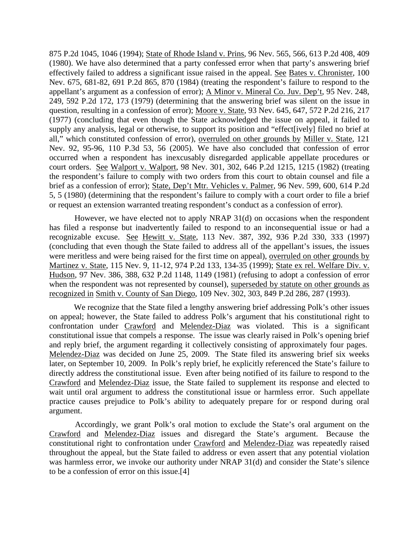875 P.2d 1045, 1046 (1994); State of Rhode Island v. Prins, 96 Nev. 565, 566, 613 P.2d 408, 409 (1980). We have also determined that a party confessed error when that party's answering brief effectively failed to address a significant issue raised in the appeal. See Bates v. Chronister, 100 Nev. 675, 681-82, 691 P.2d 865, 870 (1984) (treating the respondent's failure to respond to the appellant's argument as a confession of error); A Minor v. Mineral Co. Juv. Dep't, 95 Nev. 248, 249, 592 P.2d 172, 173 (1979) (determining that the answering brief was silent on the issue in question, resulting in a confession of error); Moore v. State, 93 Nev. 645, 647, 572 P.2d 216, 217 (1977) (concluding that even though the State acknowledged the issue on appeal, it failed to supply any analysis, legal or otherwise, to support its position and "effect[ively] filed no brief at all," which constituted confession of error), overruled on other grounds by Miller v. State, 121 Nev. 92, 95-96, 110 P.3d 53, 56 (2005). We have also concluded that confession of error occurred when a respondent has inexcusably disregarded applicable appellate procedures or court orders. See Walport v. Walport, 98 Nev. 301, 302, 646 P.2d 1215, 1215 (1982) (treating the respondent's failure to comply with two orders from this court to obtain counsel and file a brief as a confession of error); State, Dep't Mtr. Vehicles v. Palmer, 96 Nev. 599, 600, 614 P.2d 5, 5 (1980) (determining that the respondent's failure to comply with a court order to file a brief or request an extension warranted treating respondent's conduct as a confession of error).

 However, we have elected not to apply NRAP 31(d) on occasions when the respondent has filed a response but inadvertently failed to respond to an inconsequential issue or had a recognizable excuse. See Hewitt v. State, 113 Nev. 387, 392, 936 P.2d 330, 333 (1997) (concluding that even though the State failed to address all of the appellant's issues, the issues were meritless and were being raised for the first time on appeal), overruled on other grounds by Martinez v. State, 115 Nev. 9, 11-12, 974 P.2d 133, 134-35 (1999); State ex rel. Welfare Div. v. Hudson, 97 Nev. 386, 388, 632 P.2d 1148, 1149 (1981) (refusing to adopt a confession of error when the respondent was not represented by counsel), superseded by statute on other grounds as recognized in Smith v. County of San Diego, 109 Nev. 302, 303, 849 P.2d 286, 287 (1993).

 We recognize that the State filed a lengthy answering brief addressing Polk's other issues on appeal; however, the State failed to address Polk's argument that his constitutional right to confrontation under Crawford and Melendez-Diaz was violated. This is a significant constitutional issue that compels a response. The issue was clearly raised in Polk's opening brief and reply brief, the argument regarding it collectively consisting of approximately four pages. Melendez-Diaz was decided on June 25, 2009. The State filed its answering brief six weeks later, on September 10, 2009. In Polk's reply brief, he explicitly referenced the State's failure to directly address the constitutional issue. Even after being notified of its failure to respond to the Crawford and Melendez-Diaz issue, the State failed to supplement its response and elected to wait until oral argument to address the constitutional issue or harmless error. Such appellate practice causes prejudice to Polk's ability to adequately prepare for or respond during oral argument.

 Accordingly, we grant Polk's oral motion to exclude the State's oral argument on the Crawford and Melendez-Diaz issues and disregard the State's argument. Because the constitutional right to confrontation under Crawford and Melendez-Diaz was repeatedly raised throughout the appeal, but the State failed to address or even assert that any potential violation was harmless error, we invoke our authority under NRAP 31(d) and consider the State's silence to be a confession of error on this issue.[4]